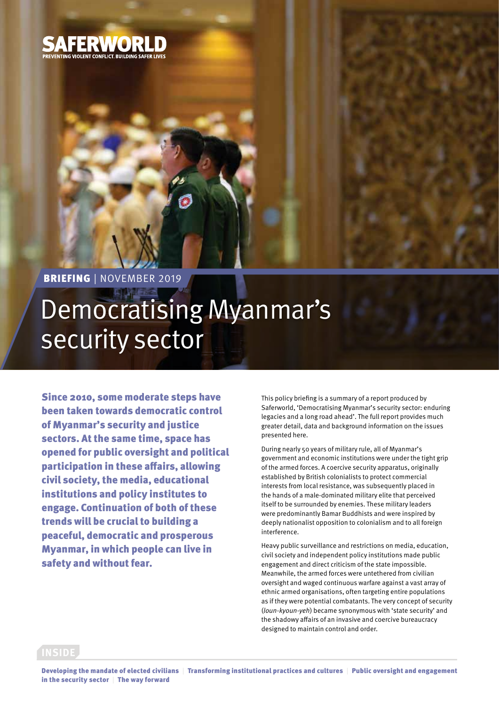

BRIEFING | NOVEMBER 2019

# Democratising Myanmar's security sector

Since 2010, some moderate steps have been taken towards democratic control of Myanmar's security and justice sectors. At the same time, space has opened for public oversight and political participation in these affairs, allowing civil society, the media, educational institutions and policy institutes to engage. Continuation of both of these trends will be crucial to building a peaceful, democratic and prosperous Myanmar, in which people can live in safety and without fear.

This policy briefing is a summary of a report produced by Saferworld, 'Democratising Myanmar's security sector: enduring legacies and a long road ahead'. The full report provides much greater detail, data and background information on the issues presented here.

During nearly 50 years of military rule, all of Myanmar's government and economic institutions were under the tight grip of the armed forces. A coercive security apparatus, originally established by British colonialists to protect commercial interests from local resistance, was subsequently placed in the hands of a male-dominated military elite that perceived itself to be surrounded by enemies. These military leaders were predominantly Bamar Buddhists and were inspired by deeply nationalist opposition to colonialism and to all foreign interference.

Heavy public surveillance and restrictions on media, education, civil society and independent policy institutions made public engagement and direct criticism of the state impossible. Meanwhile, the armed forces were untethered from civilian oversight and waged continuous warfare against a vast array of ethnic armed organisations, often targeting entire populations as if they were potential combatants. The very concept of security (*loun-kyoun-yeh*) became synonymous with 'state security' and the shadowy affairs of an invasive and coercive bureaucracy designed to maintain control and order.

#### **INSIDE**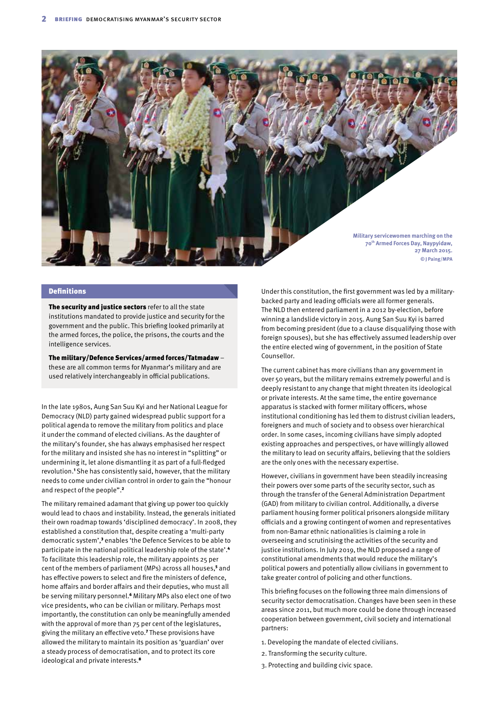

#### Definitions

The security and justice sectors refer to all the state institutions mandated to provide justice and security for the government and the public. This briefing looked primarily at the armed forces, the police, the prisons, the courts and the intelligence services.

The military/Defence Services/armed forces/Tatmadaw – these are all common terms for Myanmar's military and are used relatively interchangeably in official publications.

In the late 1980s, Aung San Suu Kyi and her National League for Democracy (NLD) party gained widespread public support for a political agenda to remove the military from politics and place it under the command of elected civilians. As the daughter of the military's founder, she has always emphasised her respect for the military and insisted she has no interest in "splitting" or undermining it, let alone dismantling it as part of a full-fledged revolution.<sup>1</sup> She has consistently said, however, that the military needs to come under civilian control in order to gain the "honour and respect of the people".<sup>2</sup>

The military remained adamant that giving up power too quickly would lead to chaos and instability. Instead, the generals initiated their own roadmap towards 'disciplined democracy'. In 2008, they established a constitution that, despite creating a 'multi-party democratic system',<sup>3</sup> enables 'the Defence Services to be able to participate in the national political leadership role of the state'.<sup>4</sup> To facilitate this leadership role, the military appoints 25 per cent of the members of parliament (MPs) across all houses,<sup>5</sup> and has effective powers to select and fire the ministers of defence, home affairs and border affairs and their deputies, who must all be serving military personnel.<sup>6</sup> Military MPs also elect one of two vice presidents, who can be civilian or military. Perhaps most importantly, the constitution can only be meaningfully amended with the approval of more than 75 per cent of the legislatures, giving the military an effective veto.<sup>7</sup> These provisions have allowed the military to maintain its position as 'guardian' over a steady process of democratisation, and to protect its core ideological and private interests.<sup>8</sup>

Under this constitution, the first government was led by a militarybacked party and leading officials were all former generals. The NLD then entered parliament in a 2012 by-election, before winning a landslide victory in 2015. Aung San Suu Kyi is barred from becoming president (due to a clause disqualifying those with foreign spouses), but she has effectively assumed leadership over the entire elected wing of government, in the position of State Counsellor.

The current cabinet has more civilians than any government in over 50 years, but the military remains extremely powerful and is deeply resistant to any change that might threaten its ideological or private interests. At the same time, the entire governance apparatus is stacked with former military officers, whose institutional conditioning has led them to distrust civilian leaders, foreigners and much of society and to obsess over hierarchical order. In some cases, incoming civilians have simply adopted existing approaches and perspectives, or have willingly allowed the military to lead on security affairs, believing that the soldiers are the only ones with the necessary expertise.

However, civilians in government have been steadily increasing their powers over some parts of the security sector, such as through the transfer of the General Administration Department (GAD) from military to civilian control. Additionally, a diverse parliament housing former political prisoners alongside military officials and a growing contingent of women and representatives from non-Bamar ethnic nationalities is claiming a role in overseeing and scrutinising the activities of the security and justice institutions. In July 2019, the NLD proposed a range of constitutional amendments that would reduce the military's political powers and potentially allow civilians in government to take greater control of policing and other functions.

This briefing focuses on the following three main dimensions of security sector democratisation. Changes have been seen in these areas since 2011, but much more could be done through increased cooperation between government, civil society and international partners:

- 1. Developing the mandate of elected civilians.
- 2. Transforming the security culture.
- 3. Protecting and building civic space.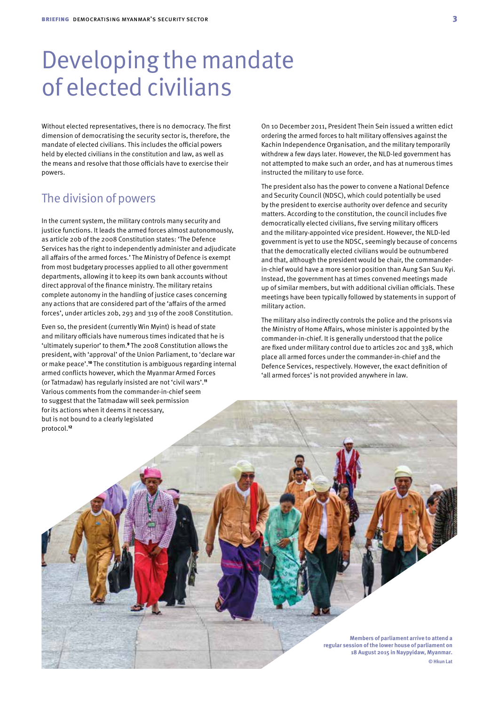## Developing the mandate of elected civilians

Without elected representatives, there is no democracy. The first dimension of democratising the security sector is, therefore, the mandate of elected civilians. This includes the official powers held by elected civilians in the constitution and law, as well as the means and resolve that those officials have to exercise their powers.

#### The division of powers

In the current system, the military controls many security and justice functions. It leads the armed forces almost autonomously, as article 20b of the 2008 Constitution states: 'The Defence Services has the right to independently administer and adjudicate all affairs of the armed forces.' The Ministry of Defence is exempt from most budgetary processes applied to all other government departments, allowing it to keep its own bank accounts without direct approval of the finance ministry. The military retains complete autonomy in the handling of justice cases concerning any actions that are considered part of the 'affairs of the armed forces', under articles 20b, 293 and 319 of the 2008 Constitution.

Even so, the president (currently Win Myint) is head of state and military officials have numerous times indicated that he is 'ultimately superior' to them.9 The 2008 Constitution allows the president, with 'approval' of the Union Parliament, to 'declare war or make peace'.10 The constitution is ambiguous regarding internal armed conflicts however, which the Myanmar Armed Forces (or Tatmadaw) has regularly insisted are not 'civil wars'.<sup>11</sup> Various comments from the commander-in-chief seem to suggest that the Tatmadaw will seek permission for its actions when it deems it necessary, but is not bound to a clearly legislated protocol.<sup>12</sup>

On 10 December 2011, President Thein Sein issued a written edict ordering the armed forces to halt military offensives against the Kachin Independence Organisation, and the military temporarily withdrew a few days later. However, the NLD-led government has not attempted to make such an order, and has at numerous times instructed the military to use force.

The president also has the power to convene a National Defence and Security Council (NDSC), which could potentially be used by the president to exercise authority over defence and security matters. According to the constitution, the council includes five democratically elected civilians, five serving military officers and the military-appointed vice president. However, the NLD-led government is yet to use the NDSC, seemingly because of concerns that the democratically elected civilians would be outnumbered and that, although the president would be chair, the commanderin-chief would have a more senior position than Aung San Suu Kyi. Instead, the government has at times convened meetings made up of similar members, but with additional civilian officials. These meetings have been typically followed by statements in support of military action.

The military also indirectly controls the police and the prisons via the Ministry of Home Affairs, whose minister is appointed by the commander-in-chief. It is generally understood that the police are fixed under military control due to articles 20c and 338, which place all armed forces under the commander-in-chief and the Defence Services, respectively. However, the exact definition of 'all armed forces' is not provided anywhere in law.

> **Members of parliament arrive to attend a regular session of the lower house of parliament on 18 August 2015 in Naypyidaw, Myanmar. © Hkun Lat**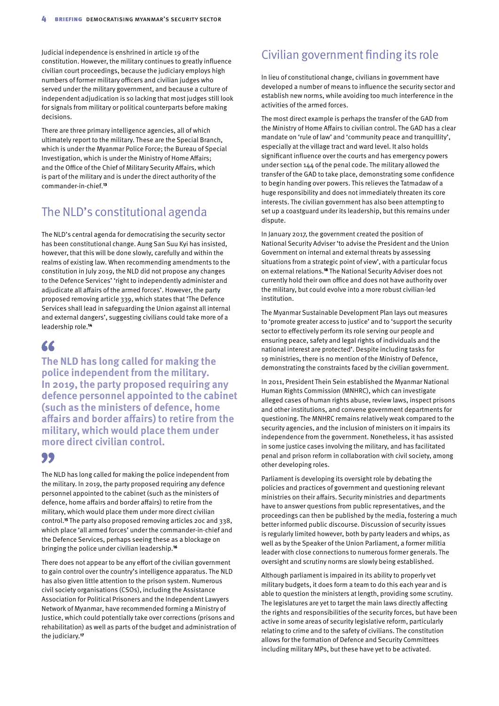Judicial independence is enshrined in article 19 of the constitution. However, the military continues to greatly influence civilian court proceedings, because the judiciary employs high numbers of former military officers and civilian judges who served under the military government, and because a culture of independent adjudication is so lacking that most judges still look for signals from military or political counterparts before making decisions.

There are three primary intelligence agencies, all of which ultimately report to the military. These are the Special Branch, which is under the Myanmar Police Force; the Bureau of Special Investigation, which is under the Ministry of Home Affairs; and the Office of the Chief of Military Security Affairs, which is part of the military and is under the direct authority of the commander-in-chief.<sup>13</sup>

#### The NLD's constitutional agenda

The NLD's central agenda for democratising the security sector has been constitutional change. Aung San Suu Kyi has insisted, however, that this will be done slowly, carefully and within the realms of existing law. When recommending amendments to the constitution in July 2019, the NLD did not propose any changes to the Defence Services' 'right to independently administer and adjudicate all affairs of the armed forces'. However, the party proposed removing article 339, which states that 'The Defence Services shall lead in safeguarding the Union against all internal and external dangers', suggesting civilians could take more of a leadership role.<sup>14</sup>

### 66

**The NLD has long called for making the police independent from the military. In 2019, the party proposed requiring any defence personnel appointed to the cabinet (such as the ministers of defence, home affairs and border affairs) to retire from the military, which would place them under more direct civilian control.**

#### 99

The NLD has long called for making the police independent from the military. In 2019, the party proposed requiring any defence personnel appointed to the cabinet (such as the ministers of defence, home affairs and border affairs) to retire from the military, which would place them under more direct civilian control.15 The party also proposed removing articles 20c and 338, which place 'all armed forces' under the commander-in-chief and the Defence Services, perhaps seeing these as a blockage on bringing the police under civilian leadership.<sup>16</sup>

There does not appear to be any effort of the civilian government to gain control over the country's intelligence apparatus. The NLD has also given little attention to the prison system. Numerous civil society organisations (CSOs), including the Assistance Association for Political Prisoners and the Independent Lawyers Network of Myanmar, have recommended forming a Ministry of Justice, which could potentially take over corrections (prisons and rehabilitation) as well as parts of the budget and administration of the judiciary.17

### Civilian government finding its role

In lieu of constitutional change, civilians in government have developed a number of means to influence the security sector and establish new norms, while avoiding too much interference in the activities of the armed forces.

The most direct example is perhaps the transfer of the GAD from the Ministry of Home Affairs to civilian control. The GAD has a clear mandate on 'rule of law' and 'community peace and tranquillity', especially at the village tract and ward level. It also holds significant influence over the courts and has emergency powers under section 144 of the penal code. The military allowed the transfer of the GAD to take place, demonstrating some confidence to begin handing over powers. This relieves the Tatmadaw of a huge responsibility and does not immediately threaten its core interests. The civilian government has also been attempting to set up a coastguard under its leadership, but this remains under dispute.

In January 2017, the government created the position of National Security Adviser 'to advise the President and the Union Government on internal and external threats by assessing situations from a strategic point of view', with a particular focus on external relations.18 The National Security Adviser does not currently hold their own office and does not have authority over the military, but could evolve into a more robust civilian-led institution.

The Myanmar Sustainable Development Plan lays out measures to 'promote greater access to justice' and to 'support the security sector to effectively perform its role serving our people and ensuring peace, safety and legal rights of individuals and the national interest are protected'. Despite including tasks for 19 ministries, there is no mention of the Ministry of Defence, demonstrating the constraints faced by the civilian government.

In 2011, President Thein Sein established the Myanmar National Human Rights Commission (MNHRC), which can investigate alleged cases of human rights abuse, review laws, inspect prisons and other institutions, and convene government departments for questioning. The MNHRC remains relatively weak compared to the security agencies, and the inclusion of ministers on it impairs its independence from the government. Nonetheless, it has assisted in some justice cases involving the military, and has facilitated penal and prison reform in collaboration with civil society, among other developing roles.

Parliament is developing its oversight role by debating the policies and practices of government and questioning relevant ministries on their affairs. Security ministries and departments have to answer questions from public representatives, and the proceedings can then be published by the media, fostering a much better informed public discourse. Discussion of security issues is regularly limited however, both by party leaders and whips, as well as by the Speaker of the Union Parliament, a former militia leader with close connections to numerous former generals. The oversight and scrutiny norms are slowly being established.

Although parliament is impaired in its ability to properly vet military budgets, it does form a team to do this each year and is able to question the ministers at length, providing some scrutiny. The legislatures are yet to target the main laws directly affecting the rights and responsibilities of the security forces, but have been active in some areas of security legislative reform, particularly relating to crime and to the safety of civilians. The constitution allows for the formation of Defence and Security Committees including military MPs, but these have yet to be activated.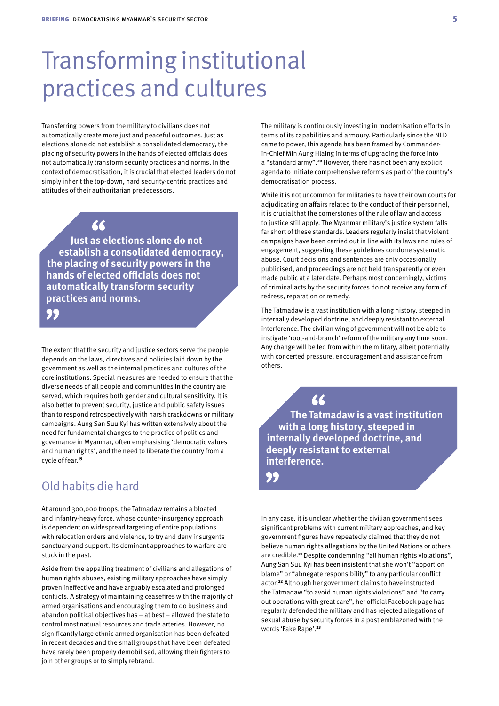## Transforming institutional practices and cultures

Transferring powers from the military to civilians does not automatically create more just and peaceful outcomes. Just as elections alone do not establish a consolidated democracy, the placing of security powers in the hands of elected officials does not automatically transform security practices and norms. In the context of democratisation, it is crucial that elected leaders do not simply inherit the top-down, hard security-centric practices and attitudes of their authoritarian predecessors.

66

**Just as elections alone do not establish a consolidated democracy, the placing of security powers in the hands of elected officials does not automatically transform security practices and norms.**

99

The extent that the security and justice sectors serve the people depends on the laws, directives and policies laid down by the government as well as the internal practices and cultures of the core institutions. Special measures are needed to ensure that the diverse needs of all people and communities in the country are served, which requires both gender and cultural sensitivity. It is also better to prevent security, justice and public safety issues than to respond retrospectively with harsh crackdowns or military campaigns. Aung San Suu Kyi has written extensively about the need for fundamental changes to the practice of politics and governance in Myanmar, often emphasising 'democratic values and human rights', and the need to liberate the country from a cycle of fear.<sup>19</sup>

## Old habits die hard

At around 300,000 troops, the Tatmadaw remains a bloated and infantry-heavy force, whose counter-insurgency approach is dependent on widespread targeting of entire populations with relocation orders and violence, to try and deny insurgents sanctuary and support. Its dominant approaches to warfare are stuck in the past.

Aside from the appalling treatment of civilians and allegations of human rights abuses, existing military approaches have simply proven ineffective and have arguably escalated and prolonged conflicts. A strategy of maintaining ceasefires with the majority of armed organisations and encouraging them to do business and abandon political objectives has – at best – allowed the state to control most natural resources and trade arteries. However, no significantly large ethnic armed organisation has been defeated in recent decades and the small groups that have been defeated have rarely been properly demobilised, allowing their fighters to join other groups or to simply rebrand.

The military is continuously investing in modernisation efforts in terms of its capabilities and armoury. Particularly since the NLD came to power, this agenda has been framed by Commanderin-Chief Min Aung Hlaing in terms of upgrading the force into a "standard army".20 However, there has not been any explicit agenda to initiate comprehensive reforms as part of the country's democratisation process.

While it is not uncommon for militaries to have their own courts for adjudicating on affairs related to the conduct of their personnel, it is crucial that the cornerstones of the rule of law and access to justice still apply. The Myanmar military's justice system falls far short of these standards. Leaders regularly insist that violent campaigns have been carried out in line with its laws and rules of engagement, suggesting these guidelines condone systematic abuse. Court decisions and sentences are only occasionally publicised, and proceedings are not held transparently or even made public at a later date. Perhaps most concerningly, victims of criminal acts by the security forces do not receive any form of redress, reparation or remedy.

The Tatmadaw is a vast institution with a long history, steeped in internally developed doctrine, and deeply resistant to external interference. The civilian wing of government will not be able to instigate 'root-and-branch' reform of the military any time soon. Any change will be led from within the military, albeit potentially with concerted pressure, encouragement and assistance from others.

**The Tatmadaw is a vast institution with a long history, steeped in internally developed doctrine, and deeply resistant to external interference.**

66

99

In any case, it is unclear whether the civilian government sees significant problems with current military approaches, and key government figures have repeatedly claimed that they do not believe human rights allegations by the United Nations or others are credible.21 Despite condemning "all human rights violations", Aung San Suu Kyi has been insistent that she won't "apportion blame" or "abnegate responsibility" to any particular conflict actor.22 Although her government claims to have instructed the Tatmadaw "to avoid human rights violations" and "to carry out operations with great care", her official Facebook page has regularly defended the military and has rejected allegations of sexual abuse by security forces in a post emblazoned with the words 'Fake Rape'.23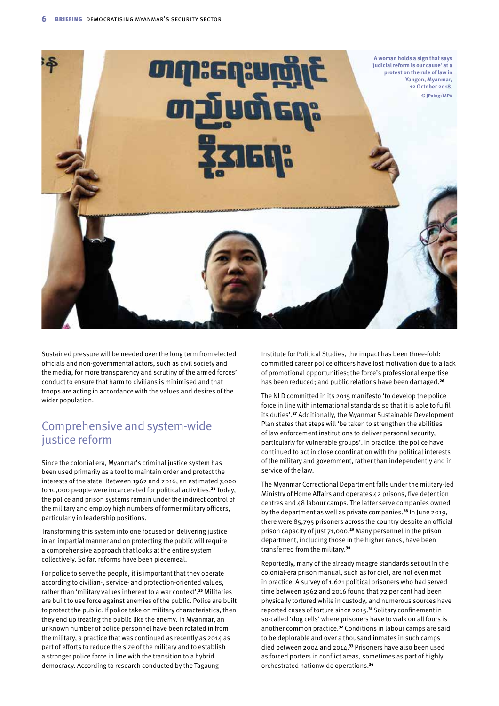

Sustained pressure will be needed over the long term from elected officials and non-governmental actors, such as civil society and the media, for more transparency and scrutiny of the armed forces' conduct to ensure that harm to civilians is minimised and that troops are acting in accordance with the values and desires of the wider population.

#### Comprehensive and system-wide justice reform

Since the colonial era, Myanmar's criminal justice system has been used primarily as a tool to maintain order and protect the interests of the state. Between 1962 and 2016, an estimated 7,000 to 10,000 people were incarcerated for political activities.<sup>24</sup> Today, the police and prison systems remain under the indirect control of the military and employ high numbers of former military officers, particularly in leadership positions.

Transforming this system into one focused on delivering justice in an impartial manner and on protecting the public will require a comprehensive approach that looks at the entire system collectively. So far, reforms have been piecemeal.

For police to serve the people, it is important that they operate according to civilian-, service- and protection-oriented values, rather than 'military values inherent to a war context'.<sup>25</sup> Militaries are built to use force against enemies of the public. Police are built to protect the public. If police take on military characteristics, then they end up treating the public like the enemy. In Myanmar, an unknown number of police personnel have been rotated in from the military, a practice that was continued as recently as 2014 as part of efforts to reduce the size of the military and to establish a stronger police force in line with the transition to a hybrid democracy. According to research conducted by the Tagaung

Institute for Political Studies, the impact has been three-fold: committed career police officers have lost motivation due to a lack of promotional opportunities; the force's professional expertise has been reduced; and public relations have been damaged.<sup>26</sup>

The NLD committed in its 2015 manifesto 'to develop the police force in line with international standards so that it is able to fulfil its duties'.27 Additionally, the Myanmar Sustainable Development Plan states that steps will 'be taken to strengthen the abilities of law enforcement institutions to deliver personal security, particularly for vulnerable groups'. In practice, the police have continued to act in close coordination with the political interests of the military and government, rather than independently and in service of the law.

The Myanmar Correctional Department falls under the military-led Ministry of Home Affairs and operates 42 prisons, five detention centres and 48 labour camps. The latter serve companies owned by the department as well as private companies.28 In June 2019, there were 85,795 prisoners across the country despite an official prison capacity of just 71,000.29 Many personnel in the prison department, including those in the higher ranks, have been transferred from the military.<sup>30</sup>

Reportedly, many of the already meagre standards set out in the colonial-era prison manual, such as for diet, are not even met in practice. A survey of 1,621 political prisoners who had served time between 1962 and 2016 found that 72 per cent had been physically tortured while in custody, and numerous sources have reported cases of torture since 2015.31 Solitary confinement in so-called 'dog cells' where prisoners have to walk on all fours is another common practice.32 Conditions in labour camps are said to be deplorable and over a thousand inmates in such camps died between 2004 and 2014.33 Prisoners have also been used as forced porters in conflict areas, sometimes as part of highly orchestrated nationwide operations.<sup>34</sup>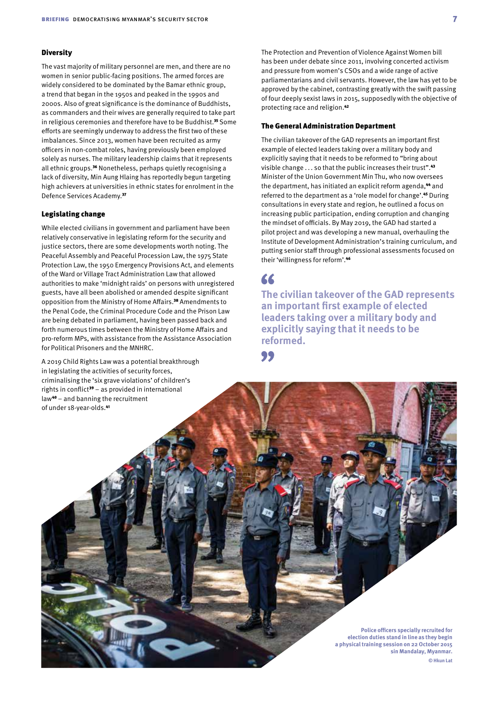#### **Diversity**

The vast majority of military personnel are men, and there are no women in senior public-facing positions. The armed forces are widely considered to be dominated by the Bamar ethnic group, a trend that began in the 1950s and peaked in the 1990s and 2000s. Also of great significance is the dominance of Buddhists, as commanders and their wives are generally required to take part in religious ceremonies and therefore have to be Buddhist.<sup>35</sup> Some efforts are seemingly underway to address the first two of these imbalances. Since 2013, women have been recruited as army officers in non-combat roles, having previously been employed solely as nurses. The military leadership claims that it represents all ethnic groups.<sup>36</sup> Nonetheless, perhaps quietly recognising a lack of diversity, Min Aung Hlaing has reportedly begun targeting high achievers at universities in ethnic states for enrolment in the Defence Services Academy.<sup>37</sup>

#### Legislating change

While elected civilians in government and parliament have been relatively conservative in legislating reform for the security and justice sectors, there are some developments worth noting. The Peaceful Assembly and Peaceful Procession Law, the 1975 State Protection Law, the 1950 Emergency Provisions Act, and elements of the Ward or Village Tract Administration Law that allowed authorities to make 'midnight raids' on persons with unregistered guests, have all been abolished or amended despite significant opposition from the Ministry of Home Affairs.<sup>38</sup> Amendments to the Penal Code, the Criminal Procedure Code and the Prison Law are being debated in parliament, having been passed back and forth numerous times between the Ministry of Home Affairs and pro-reform MPs, with assistance from the Assistance Association for Political Prisoners and the MNHRC.

A 2019 Child Rights Law was a potential breakthrough in legislating the activities of security forces, criminalising the 'six grave violations' of children's rights in conflict<sup>39</sup> – as provided in international law40 – and banning the recruitment of under 18-year-olds.<sup>41</sup>

The Protection and Prevention of Violence Against Women bill has been under debate since 2011, involving concerted activism and pressure from women's CSOs and a wide range of active parliamentarians and civil servants. However, the law has yet to be approved by the cabinet, contrasting greatly with the swift passing of four deeply sexist laws in 2015, supposedly with the objective of protecting race and religion.<sup>42</sup>

#### The General Administration Department

The civilian takeover of the GAD represents an important first example of elected leaders taking over a military body and explicitly saying that it needs to be reformed to "bring about visible change . . . so that the public increases their trust".<sup>43</sup> Minister of the Union Government Min Thu, who now oversees the department, has initiated an explicit reform agenda,<sup>44</sup> and referred to the department as a 'role model for change'.45 During consultations in every state and region, he outlined a focus on increasing public participation, ending corruption and changing the mindset of officials. By May 2019, the GAD had started a pilot project and was developing a new manual, overhauling the Institute of Development Administration's training curriculum, and putting senior staff through professional assessments focused on their 'willingness for reform'.<sup>46</sup>

#### 66

**The civilian takeover of the GAD represents an important first example of elected leaders taking over a military body and explicitly saying that it needs to be reformed.**

99

**Police officers specially recruited for election duties stand in line as they begin a physical training session on 22 October 2015 sin Mandalay, Myanmar. © Hkun Lat**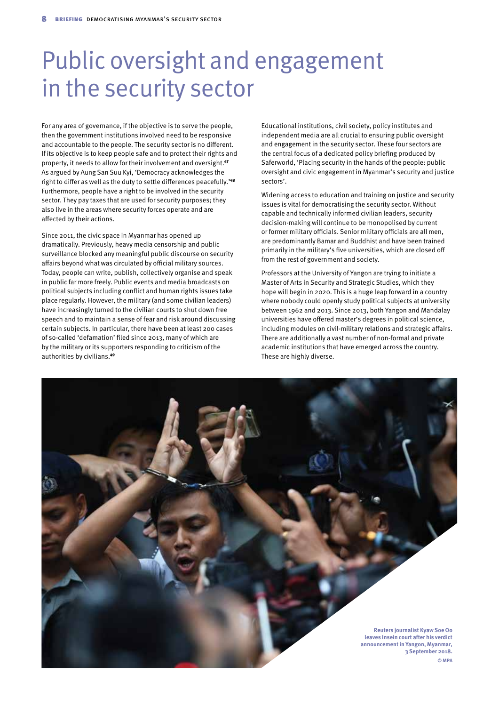## Public oversight and engagement in the security sector

For any area of governance, if the objective is to serve the people, then the government institutions involved need to be responsive and accountable to the people. The security sector is no different. If its objective is to keep people safe and to protect their rights and property, it needs to allow for their involvement and oversight.<sup>47</sup> As argued by Aung San Suu Kyi, 'Democracy acknowledges the right to differ as well as the duty to settle differences peacefully.'<sup>48</sup> Furthermore, people have a right to be involved in the security sector. They pay taxes that are used for security purposes; they also live in the areas where security forces operate and are affected by their actions.

Since 2011, the civic space in Myanmar has opened up dramatically. Previously, heavy media censorship and public surveillance blocked any meaningful public discourse on security affairs beyond what was circulated by official military sources. Today, people can write, publish, collectively organise and speak in public far more freely. Public events and media broadcasts on political subjects including conflict and human rights issues take place regularly. However, the military (and some civilian leaders) have increasingly turned to the civilian courts to shut down free speech and to maintain a sense of fear and risk around discussing certain subjects. In particular, there have been at least 200 cases of so-called 'defamation' filed since 2013, many of which are by the military or its supporters responding to criticism of the authorities by civilians.<sup>49</sup>

Educational institutions, civil society, policy institutes and independent media are all crucial to ensuring public oversight and engagement in the security sector. These four sectors are the central focus of a dedicated policy briefing produced by Saferworld, 'Placing security in the hands of the people: public oversight and civic engagement in Myanmar's security and justice sectors'.

Widening access to education and training on justice and security issues is vital for democratising the security sector. Without capable and technically informed civilian leaders, security decision-making will continue to be monopolised by current or former military officials. Senior military officials are all men, are predominantly Bamar and Buddhist and have been trained primarily in the military's five universities, which are closed off from the rest of government and society.

Professors at the University of Yangon are trying to initiate a Master of Arts in Security and Strategic Studies, which they hope will begin in 2020. This is a huge leap forward in a country where nobody could openly study political subjects at university between 1962 and 2013. Since 2013, both Yangon and Mandalay universities have offered master's degrees in political science, including modules on civil-military relations and strategic affairs. There are additionally a vast number of non-formal and private academic institutions that have emerged across the country. These are highly diverse.

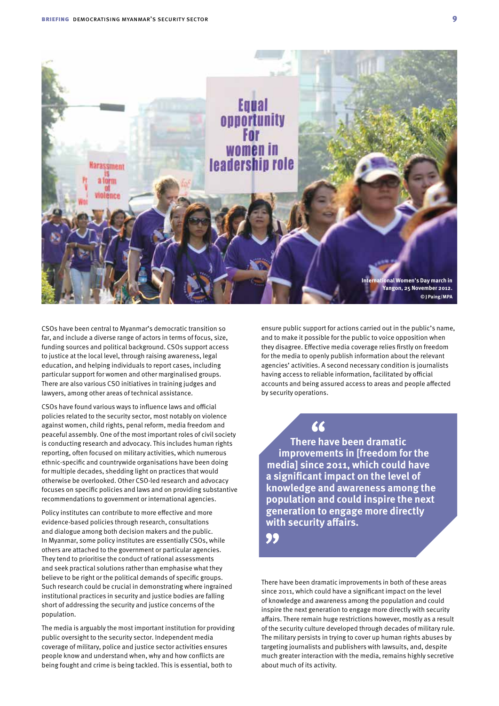

CSOs have been central to Myanmar's democratic transition so far, and include a diverse range of actors in terms of focus, size, funding sources and political background. CSOs support access to justice at the local level, through raising awareness, legal education, and helping individuals to report cases, including particular support for women and other marginalised groups. There are also various CSO initiatives in training judges and lawyers, among other areas of technical assistance.

CSOs have found various ways to influence laws and official policies related to the security sector, most notably on violence against women, child rights, penal reform, media freedom and peaceful assembly. One of the most important roles of civil society is conducting research and advocacy. This includes human rights reporting, often focused on military activities, which numerous ethnic-specific and countrywide organisations have been doing for multiple decades, shedding light on practices that would otherwise be overlooked. Other CSO-led research and advocacy focuses on specific policies and laws and on providing substantive recommendations to government or international agencies.

Policy institutes can contribute to more effective and more evidence-based policies through research, consultations and dialogue among both decision makers and the public. In Myanmar, some policy institutes are essentially CSOs, while others are attached to the government or particular agencies. They tend to prioritise the conduct of rational assessments and seek practical solutions rather than emphasise what they believe to be right or the political demands of specific groups. Such research could be crucial in demonstrating where ingrained institutional practices in security and justice bodies are falling short of addressing the security and justice concerns of the population.

The media is arguably the most important institution for providing public oversight to the security sector. Independent media coverage of military, police and justice sector activities ensures people know and understand when, why and how conflicts are being fought and crime is being tackled. This is essential, both to

ensure public support for actions carried out in the public's name, and to make it possible for the public to voice opposition when they disagree. Effective media coverage relies firstly on freedom for the media to openly publish information about the relevant agencies' activities. A second necessary condition is journalists having access to reliable information, facilitated by official accounts and being assured access to areas and people affected by security operations.

66

**There have been dramatic improvements in [freedom for the media] since 2011, which could have a significant impact on the level of knowledge and awareness among the population and could inspire the next generation to engage more directly with security affairs.**

99

There have been dramatic improvements in both of these areas since 2011, which could have a significant impact on the level of knowledge and awareness among the population and could inspire the next generation to engage more directly with security affairs. There remain huge restrictions however, mostly as a result of the security culture developed through decades of military rule. The military persists in trying to cover up human rights abuses by targeting journalists and publishers with lawsuits, and, despite much greater interaction with the media, remains highly secretive about much of its activity.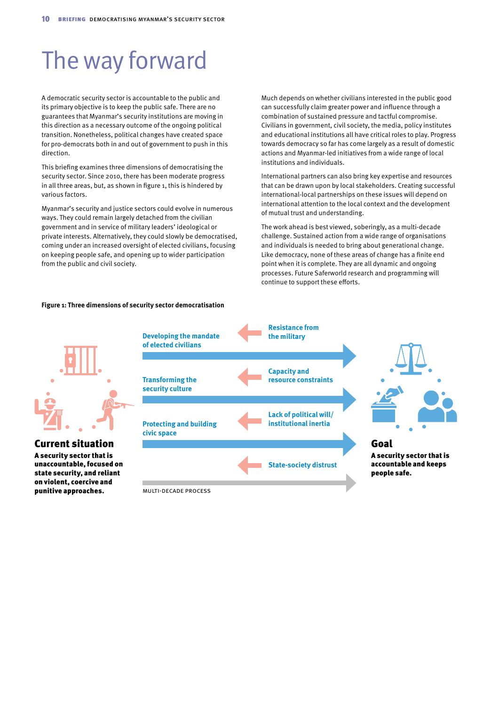## The way forward

A democratic security sector is accountable to the public and its primary objective is to keep the public safe. There are no guarantees that Myanmar's security institutions are moving in this direction as a necessary outcome of the ongoing political transition. Nonetheless, political changes have created space for pro-democrats both in and out of government to push in this direction.

This briefing examines three dimensions of democratising the security sector. Since 2010, there has been moderate progress in all three areas, but, as shown in figure 1, this is hindered by various factors.

Myanmar's security and justice sectors could evolve in numerous ways. They could remain largely detached from the civilian government and in service of military leaders' ideological or private interests. Alternatively, they could slowly be democratised, coming under an increased oversight of elected civilians, focusing on keeping people safe, and opening up to wider participation from the public and civil society.

**Figure 1: Three dimensions of security sector democratisation**

Much depends on whether civilians interested in the public good can successfully claim greater power and influence through a combination of sustained pressure and tactful compromise. Civilians in government, civil society, the media, policy institutes and educational institutions all have critical roles to play. Progress towards democracy so far has come largely as a result of domestic actions and Myanmar-led initiatives from a wide range of local institutions and individuals.

International partners can also bring key expertise and resources that can be drawn upon by local stakeholders. Creating successful international-local partnerships on these issues will depend on international attention to the local context and the development of mutual trust and understanding.

The work ahead is best viewed, soberingly, as a multi-decade challenge. Sustained action from a wide range of organisations and individuals is needed to bring about generational change. Like democracy, none of these areas of change has a finite end point when it is complete. They are all dynamic and ongoing processes. Future Saferworld research and programming will continue to support these efforts.



Current situation

A security sector that is unaccountable, focused on state security, and reliant on violent, coercive and punitive approaches.





Goal A security sector that is accountable and keeps people safe.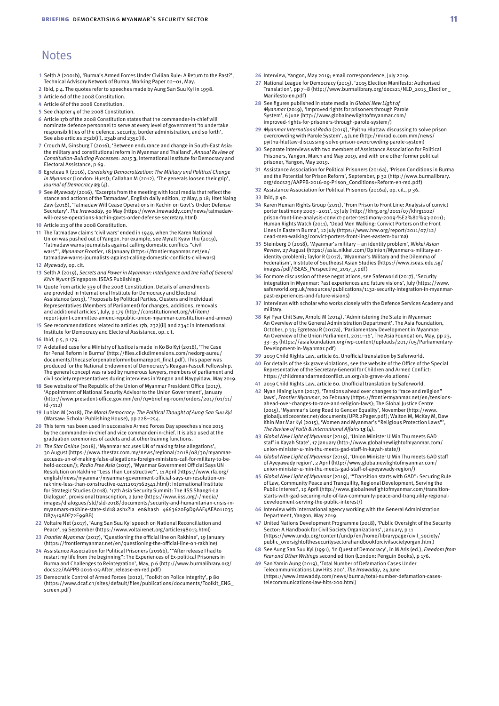#### **Notes**

- **1** Selth A (2001b), 'Burma's Armed Forces Under Civilian Rule: A Return to the Past?', Technical Advisory Network of Burma, Working Paper 02–01, May.
- **2** Ibid, p 4. The quotes refer to speeches made by Aung San Suu Kyi in 1998.
- **3** Article 6d of the 2008 Constitution.
- **4** Article 6f of the 2008 Constitution.
- **5** See chapter  $\Delta$  of the 2008 Constitution.
- **6** Article 17b of the 2008 Constitution states that the commander-in-chief will nominate defence personnel to serve at every level of government 'to undertake responsibilities of the defence, security, border administration, and so forth'. See also articles 232b(ii), 234b and 235c(ii).
- **7** Crouch M, Ginsburg T (2016), 'Between endurance and change in South-East Asia: the military and constitutional reform in Myanmar and Thailand', *Annual Review of Constitution-Building Processes: 2015* **3**, International Institute for Democracy and Electoral Assistance, p 69.
- **8** Egreteau R (2016), *Caretaking Democratization: The Military and Political Change in Myanmar* (London: Hurst); Callahan M (2012), 'The generals loosen their grip', *Journal of Democracy* **23** (4).
- **9** See *Myawady* (2016), 'Excerpts from the meeting with local media that reflect the stance and actions of the Tatmadaw', English daily edition, 17 May, p 18; Htet Naing Zaw (2018), 'Tatmadaw Will Cease Operations in Kachin on Govt's Order: Defense Secretary', *The Irrawaddy*, 30 May [\(https://www.irrawaddy.com/news/tatmadaw](https://www.irrawaddy.com/news/tatmadaw-will-cease-operations-kachin-govts-order-defense-secretary.html)[will-cease-operations-kachin-govts-order-defense-secretary.html](https://www.irrawaddy.com/news/tatmadaw-will-cease-operations-kachin-govts-order-defense-secretary.html))
- **10** Article 213 of the 2008 Constitution.
- **11** The Tatmadaw claims 'civil wars' ended in 1949, when the Karen National Union was pushed out of Yangon. For example, see Myratt Kyaw Thu (2019), 'Tatmadaw warns journalists against calling domestic conflicts "civil wars"', *Myanmar Frontier*, 18 January [\(https://frontiermyanmar.net/en/](https://frontiermyanmar.net/en/tatmadaw-warns-journalists-against-calling-domestic-conflicts-civil-wars) [tatmadaw-warns-journalists-against-calling-domestic-conflicts-civil-wars](https://frontiermyanmar.net/en/tatmadaw-warns-journalists-against-calling-domestic-conflicts-civil-wars)) **12** *Myawady*, op. cit.
- **13** Selth A (2019), *Secrets and Power in Myanmar: Intelligence and the Fall of General Khin Nyunt* (Singapore: ISEAS Publishing).
- **14** Quote from article 339 of the 2008 Constitution. Details of amendments are provided in International Institute for Democracy and Electoral Assistance (2019), 'Proposals by Political Parties, Clusters and Individual Representatives (Members of Parliament) for changes, additions, removals and additional articles', July, p 179 [\(http://constitutionnet.org/vl/item/](http://constitutionnet.org/vl/item/report-joint-committee-amend-republic-union-myanmar-constitution-and-annex) [report-joint-committee-amend-republic-union-myanmar-constitution-and-annex](http://constitutionnet.org/vl/item/report-joint-committee-amend-republic-union-myanmar-constitution-and-annex))
- **15** See recommendations related to articles 17b, 232j(ii) and 234c in International Institute for Democracy and Electoral Assistance, op. cit.
- **16** Ibid, p 5, p 179.
- **17** A detailed case for a Ministry of Justice is made in Ko Bo Kyi (2018), 'The Case for Penal Reform in Burma' [\(http://files.clickdimensions.com/nedorg-aureu/](http://files.clickdimensions.com/nedorg-aureu/documents/thecaseforpenalreforminburmareport_final.pdf) [documents/thecaseforpenalreforminburmareport\\_final.pdf\)](http://files.clickdimensions.com/nedorg-aureu/documents/thecaseforpenalreforminburmareport_final.pdf). This paper was produced for the National Endowment of Democracy's Reagan-Fascell Fellowship. The general concept was raised by numerous lawyers, members of parliament and civil society representatives during interviews in Yangon and Naypyidaw, May 2019.
- **18** See website of The Republic of the Union of Myanmar President Office (2017), 'Appointment of National Security Advisor to the Union Government', January ([http://www.president-office.gov.mm/en/?q=briefing-room/orders/2017/01/11/](http://www.president-office.gov.mm/en/?q=briefing-room/orders/2017/01/11/id-7112) [id-7112](http://www.president-office.gov.mm/en/?q=briefing-room/orders/2017/01/11/id-7112))
- **19** Lubian M (2018), *The Moral Democracy: The Political Thought of Aung San Suu Kyi* (Warsaw: Scholar Publishing House), pp 228-254.
- **20** This term has been used in successive Armed Forces Day speeches since 2015 by the commander-in-chief and vice commander-in-chief. It is also used at the graduation ceremonies of cadets and at other training functions.
- **21** *The Star Online* (2018), 'Myanmar accuses UN of making false allegations', 30 August ([https://www.thestar.com.my/news/regional/2018/08/30/myanmar](https://www.thestar.com.my/news/regional/2018/08/30/myanmar-accuses-un-of-making-false-allegations-foreign-ministers-call-for-military-to-be-held-accoun/)[accuses-un-of-making-false-allegations-foreign-ministers-call-for-military-to-be](https://www.thestar.com.my/news/regional/2018/08/30/myanmar-accuses-un-of-making-false-allegations-foreign-ministers-call-for-military-to-be-held-accoun/)[held-accoun/\)](https://www.thestar.com.my/news/regional/2018/08/30/myanmar-accuses-un-of-making-false-allegations-foreign-ministers-call-for-military-to-be-held-accoun/); *Radio Free Asia* (2017), 'Myanmar Government Official Says UN<br>Resolution on Rakhine "Less Than Constructive"', 11 April ([https://www.rfa.org/](https://www.rfa.org/english/news/myanmar/myanmar-government-official-says-un-resolution-on-rakhine-less-than-constructive-04112017162541.html)<br>english/news/myanmar/myanmar-government-official-says-un-resolut [rakhine-less-than-constructive-04112017162541.html](https://www.rfa.org/english/news/myanmar/myanmar-government-official-says-un-resolution-on-rakhine-less-than-constructive-04112017162541.html)); International Institute for Strategic Studies (2018), '17th Asia Security Summit: The IISS Shangri-La Dialogue', provisional transcription, 2 June [\(https://www.iiss.org/-/media/](https://www.iiss.org/-/media/images/dialogues/sld/sld-2018/documents/security-and-humanitarian-crisis-in-myanmars-rakhine-state-sld18.ashx?la=en&hash=4663620F9D9AAF4AEA011035DB7419ADF72E99BB) [images/dialogues/sld/sld-2018/documents/security-and-humanitarian-crisis-in](https://www.iiss.org/-/media/images/dialogues/sld/sld-2018/documents/security-and-humanitarian-crisis-in-myanmars-rakhine-state-sld18.ashx?la=en&hash=4663620F9D9AAF4AEA011035DB7419ADF72E99BB)[myanmars-rakhine-state-sld18.ashx?la=en&hash=4663620F9D9AAF4AEA011035](https://www.iiss.org/-/media/images/dialogues/sld/sld-2018/documents/security-and-humanitarian-crisis-in-myanmars-rakhine-state-sld18.ashx?la=en&hash=4663620F9D9AAF4AEA011035DB7419ADF72E99BB) [DB7419ADF72E99BB\)](https://www.iiss.org/-/media/images/dialogues/sld/sld-2018/documents/security-and-humanitarian-crisis-in-myanmars-rakhine-state-sld18.ashx?la=en&hash=4663620F9D9AAF4AEA011035DB7419ADF72E99BB)
- **22** Voltaire Net (2017), 'Aung San Suu Kyi speech on National Reconciliation and Peace', 19 September ([https://www.voltairenet.org/article198013.html\)](https://www.voltairenet.org/article198013.html)
- **23** *Frontier Myanmar* (2017), 'Questioning the official line on Rakhine', 19 January (<https://frontiermyanmar.net/en/questioning-the-official-line-on-rakhine>)
- **24** Assistance Association for Political Prisoners (2016b), '"After release I had to restart my life from the beginning": The Experiences of Ex-political Prisoners in Burma and Challenges to Reintegration', May, p 6 [\(http://www.burmalibrary.org/](http://www.burmalibrary.org/docs22/AAPPB-2016-05-After_release-en-red.pdf) [docs22/AAPPB-2016-05-After\\_release-en-red.pdf](http://www.burmalibrary.org/docs22/AAPPB-2016-05-After_release-en-red.pdf))
- **25** Democratic Control of Armed Forces (2012), 'Toolkit on Police Integrity', p 80 ([https://www.dcaf.ch/sites/default/files/publications/documents/Toolkit\\_ENG\\_](https://www.dcaf.ch/sites/default/files/publications/documents/Toolkit_ENG_screen.pdf) [screen.pdf\)](https://www.dcaf.ch/sites/default/files/publications/documents/Toolkit_ENG_screen.pdf)
- **26** Interview, Yangon, May 2019; email correspondence, July 2019.
- **27** National League for Democracy (2015), '2015 Election Manifesto: Authorised Translation', pp 7–8 ([http://www.burmalibrary.org/docs21/NLD\\_2015\\_Election\\_](http://www.burmalibrary.org/docs21/NLD_2015_Election_Manifesto-en.pdf) [Manifesto-en.pdf](http://www.burmalibrary.org/docs21/NLD_2015_Election_Manifesto-en.pdf))
- **28** See figures published in state media in *Global New Light of Myanmar* (2019), 'Improved rights for prisoners through Parole System', 6 June ([http://www.globalnewlightofmyanmar.com/](http://www.globalnewlightofmyanmar.com/improved-rights-for-prisoners-through-parole-system/) [improved-rights-for-prisoners-through-parole-system/\)](http://www.globalnewlightofmyanmar.com/improved-rights-for-prisoners-through-parole-system/)
- **29** *Myanmar International Radio* (2019), 'Pyithu Hluttaw discussing to solve prison overcrowding with Parole System', 4 June [\(http://miradio.com.mm/news/](http://miradio.com.mm/news/pyithu-hluttaw-discussing-solve-prison-overcrowding-parole-system) [pyithu-hluttaw-discussing-solve-prison-overcrowding-parole-system\)](http://miradio.com.mm/news/pyithu-hluttaw-discussing-solve-prison-overcrowding-parole-system)
- **30** Separate interviews with two members of Assistance Association for Political Prisoners, Yangon, March and May 2019, and with one other former political prisoner, Yangon, May 2019.
- **31** Assistance Association for Political Prisoners (2016a), 'Prison Conditions in Burma and the Potential for Prison Reform', September, p 32 ([http://www.burmalibrary.](http://www.burmalibrary.org/docs23/AAPPB-2016-09-Prison_Conditions+Reform-en-red.pdf) [org/docs23/AAPPB-2016-09-Prison\\_Conditions+Reform-en-red.pdf](http://www.burmalibrary.org/docs23/AAPPB-2016-09-Prison_Conditions+Reform-en-red.pdf))
- **32** Assistance Association for Political Prisoners (2016a), op. cit., p 36.
- **33** Ibid, p 40.
- **34** Karen Human Rights Group (2011), 'From Prison to Front Line: Analysis of convict porter testimony 2009–2011', 13 July [\(http://khrg.org/2011/07/khrg1102/](http://khrg.org/2011/07/khrg1102/prison-front-line-analysis-convict-porter-testimony-2009-%E2%80%93-2011) [prison-front-line-analysis-convict-porter-testimony-2009-%E2%80%93-2011](http://khrg.org/2011/07/khrg1102/prison-front-line-analysis-convict-porter-testimony-2009-%E2%80%93-2011)); Human Rights Watch (2011), 'Dead Men Walking: Convict Porters on the Front Lines in Eastern Burma', 12 July ([https://www.hrw.org/report/2011/07/12/](https://www.hrw.org/report/2011/07/12/dead-men-walking/convict-porters-front-lines-eastern-burma) [dead-men-walking/convict-porters-front-lines-eastern-burma](https://www.hrw.org/report/2011/07/12/dead-men-walking/convict-porters-front-lines-eastern-burma))
- **35** Steinberg D (2018), 'Myanmar's military an identity problem', *Nikkei Asian Review*, 27 August ([https://asia.nikkei.com/Opinion/Myanmar-s-military-an](https://asia.nikkei.com/Opinion/Myanmar-s-military-an-identity-problem)[identity-problem](https://asia.nikkei.com/Opinion/Myanmar-s-military-an-identity-problem)); Taylor R (2017), 'Myanmar's Military and the Dilemma of Federalism', Institute of Southeast Asian Studies ([https://www.iseas.edu.sg/](https://www.iseas.edu.sg/images/pdf/ISEAS_Perspective_2017_7.pdf) [images/pdf/ISEAS\\_Perspective\\_2017\\_7.pdf\)](https://www.iseas.edu.sg/images/pdf/ISEAS_Perspective_2017_7.pdf)
- **36** For more discussion of these negotiations, see Saferworld (2017), 'Security integration in Myanmar: Past experiences and future visions', July ([https://www.](https://www.saferworld.org.uk/resources/publications/1132-security-integration-in-myanmar-past-experiences-and-future-visions) [saferworld.org.uk/resources/publications/1132-security-integration-in-myanmar](https://www.saferworld.org.uk/resources/publications/1132-security-integration-in-myanmar-past-experiences-and-future-visions)[past-experiences-and-future-visions](https://www.saferworld.org.uk/resources/publications/1132-security-integration-in-myanmar-past-experiences-and-future-visions))
- **37** Interviews with scholar who works closely with the Defence Services Academy and military.
- **38** Kyi Pyar Chit Saw, Arnold M (2014), 'Administering the State in Myanmar: An Overview of the General Administration Department', The Asia Foundation, October, p 33; Egreteau R (2017a), 'Parliamentary Development in Myanmar: An Overview of the Union Parliament, 2011–16', The Asia Foundation, May, pp 23, 33–35 [\(https://asiafoundation.org/wp-content/uploads/2017/05/Parliamentary-](https://asiafoundation.org/wp-content/uploads/2017/05/Parliamentary-Development-in-Myanmar.pdf)[Development-in-Myanmar.pdf\)](https://asiafoundation.org/wp-content/uploads/2017/05/Parliamentary-Development-in-Myanmar.pdf)
- **39** 2019 Child Rights Law, article 61. Unofficial translation by Saferworld.
- **40** For details of the six grave violations, see the website of the Office of the Special Representative of the Secretary-General for Children and Armed Conflict: <https://childrenandarmedconflict.un.org/six-grave-violations/>
- **41** 2019 Child Rights Law, article 60. Unofficial translation by Saferworld.
- **42** Nyan Hlaing Lynn (2017), 'Tensions ahead over changes to "race and religion" laws', *Frontier Myanmar*, 20 February ([https://frontiermyanmar.net/en/tensions](https://frontiermyanmar.net/en/tensions-ahead-over-changes-to-race-and-religion-laws)[ahead-over-changes-to-race-and-religion-laws](https://frontiermyanmar.net/en/tensions-ahead-over-changes-to-race-and-religion-laws)); The Global Justice Centre (2015), 'Myanmar's Long Road to Gender Equality', November [\(http://www.](http://www.globaljusticecenter.net/documents/UPR.2Pager.pdf) [globaljusticecenter.net/documents/UPR.2Pager.pdf](http://www.globaljusticecenter.net/documents/UPR.2Pager.pdf)); Walton M, McKay M, Daw Khin Mar Mar Kyi (2015), 'Women and Myanmar's "Religious Protection Laws *The Review of Faith & International Affairs* **13** (4).
- **43** *Global New Light of Myanmar* (2019), 'Union Minister U Min Thu meets GAD staff in Kayah State', 17 January [\(http://www.globalnewlightofmyanmar.com/](http://www.globalnewlightofmyanmar.com/union-minister-u-min-thu-meets-gad-staff-in-kayah-state/) [union-minister-u-min-thu-meets-gad-staff-in-kayah-state/\)](http://www.globalnewlightofmyanmar.com/union-minister-u-min-thu-meets-gad-staff-in-kayah-state/)
- **44** *Global New Light of Myanmar* (2019), 'Union Minister U Min Thu meets GAD staff of Ayeyawady region', 2 April [\(http://www.globalnewlightofmyanmar.com/](http://www.globalnewlightofmyanmar.com/union-minister-u-min-thu-meets-gad-staff-of-ayeyawady-region/) [union-minister-u-min-thu-meets-gad-staff-of-ayeyawady-region/\)](http://www.globalnewlightofmyanmar.com/union-minister-u-min-thu-meets-gad-staff-of-ayeyawady-region/)
- **45** *Global New Light of Myanmar* (2019), '"Transition starts with GAD": Securing Rule of Law, Community Peace and Tranquility, Regional Development, Serving the of Law, Community Peace and Tranquility, Regional Development, Serving the Public Interest', 19 April ([http://www.globalnewlightofmyanmar.com/transition](http://www.globalnewlightofmyanmar.com/transition-starts-with-gad-securing-rule-of-law-community-peace-and-tranquility-regional-development-serving-the-public-interest/)[starts-with-gad-securing-rule-of-law-community-peace-and-tranquility-regional](http://www.globalnewlightofmyanmar.com/transition-starts-with-gad-securing-rule-of-law-community-peace-and-tranquility-regional-development-serving-the-public-interest/)[development-serving-the-public-interest/\)](http://www.globalnewlightofmyanmar.com/transition-starts-with-gad-securing-rule-of-law-community-peace-and-tranquility-regional-development-serving-the-public-interest/)
- **46** Interview with international agency working with the General Administration Department, Yangon, May 2019.
- **47** United Nations Development Programme (2018), 'Public Oversight of the Security Sector: A Handbook for Civil Society Organizations', January, p 11 ([https://www.undp.org/content/undp/en/home/librarypage/civil\\_society/](https://www.undp.org/content/undp/en/home/librarypage/civil_society/public_oversightofthesecuritysectorahandbookforcivilsocietyorgan.html) [public\\_oversightofthesecuritysectorahandbookforcivilsocietyorgan.html](https://www.undp.org/content/undp/en/home/librarypage/civil_society/public_oversightofthesecuritysectorahandbookforcivilsocietyorgan.html))
- **48** See Aung San Suu Kyi (1991), 'In Quest of Democracy', in M Aris (ed.), *Freedom from Fear and Other Writings* second edition (London: Penguin Books), p 176.
- **49** San Yamin Aung (2019), 'Total Number of Defamation Cases Under Telecommunications Law Hits 200', *The Irrawaddy*, 24 June ([https://www.irrawaddy.com/news/burma/total-number-defamation-cases](https://www.irrawaddy.com/news/burma/total-number-defamation-cases-telecommunications-law-hits-200.html)[telecommunications-law-hits-200.html](https://www.irrawaddy.com/news/burma/total-number-defamation-cases-telecommunications-law-hits-200.html))